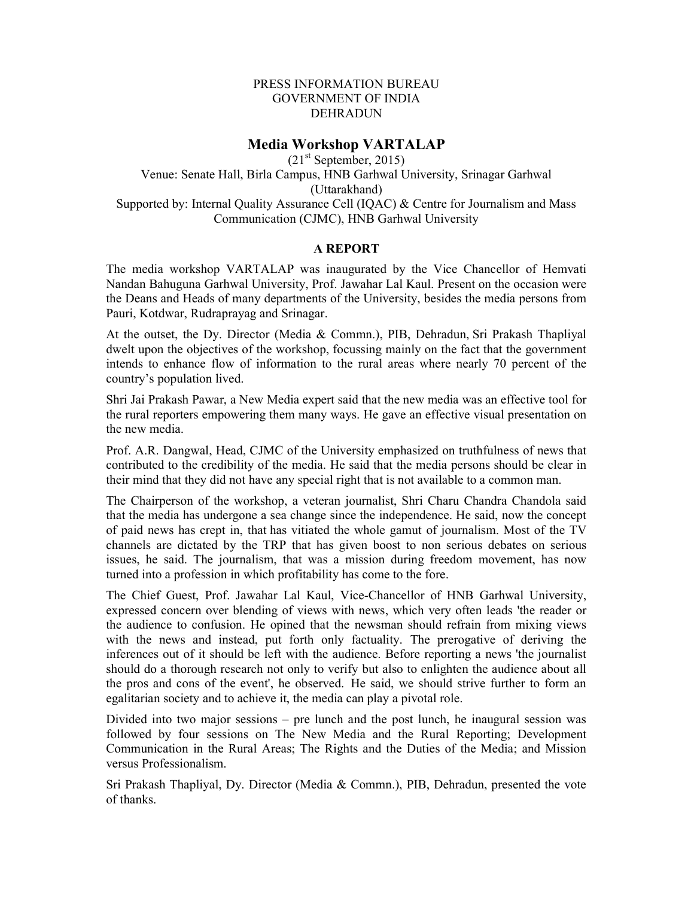## PRESS INFORMATION BUREAU GOVERNMENT OF INDIA DEHRADUN

## Media Workshop VARTALAP

 $(21<sup>st</sup> September, 2015)$ Venue: Senate Hall, Birla Campus, HNB Garhwal University, Srinagar Garhwal (Uttarakhand) Supported by: Internal Quality Assurance Cell (IQAC) & Centre for Journalism and Mass Communication (CJMC), HNB Garhwal University

## A REPORT

The media workshop VARTALAP was inaugurated by the Vice Chancellor of Hemvati Nandan Bahuguna Garhwal University, Prof. Jawahar Lal Kaul. Present on the occasion were the Deans and Heads of many departments of the University, besides the media persons from Pauri, Kotdwar, Rudraprayag and Srinagar.

At the outset, the Dy. Director (Media & Commn.), PIB, Dehradun, Sri Prakash Thapliyal dwelt upon the objectives of the workshop, focussing mainly on the fact that the government intends to enhance flow of information to the rural areas where nearly 70 percent of the country's population lived.

Shri Jai Prakash Pawar, a New Media expert said that the new media was an effective tool for the rural reporters empowering them many ways. He gave an effective visual presentation on the new media.

Prof. A.R. Dangwal, Head, CJMC of the University emphasized on truthfulness of news that contributed to the credibility of the media. He said that the media persons should be clear in their mind that they did not have any special right that is not available to a common man.

The Chairperson of the workshop, a veteran journalist, Shri Charu Chandra Chandola said that the media has undergone a sea change since the independence. He said, now the concept of paid news has crept in, that has vitiated the whole gamut of journalism. Most of the TV channels are dictated by the TRP that has given boost to non serious debates on serious issues, he said. The journalism, that was a mission during freedom movement, has now turned into a profession in which profitability has come to the fore.

The Chief Guest, Prof. Jawahar Lal Kaul, Vice-Chancellor of HNB Garhwal University, expressed concern over blending of views with news, which very often leads 'the reader or the audience to confusion. He opined that the newsman should refrain from mixing views with the news and instead, put forth only factuality. The prerogative of deriving the inferences out of it should be left with the audience. Before reporting a news 'the journalist should do a thorough research not only to verify but also to enlighten the audience about all the pros and cons of the event', he observed. He said, we should strive further to form an egalitarian society and to achieve it, the media can play a pivotal role.

Divided into two major sessions – pre lunch and the post lunch, he inaugural session was followed by four sessions on The New Media and the Rural Reporting; Development Communication in the Rural Areas; The Rights and the Duties of the Media; and Mission versus Professionalism.

Sri Prakash Thapliyal, Dy. Director (Media & Commn.), PIB, Dehradun, presented the vote of thanks.